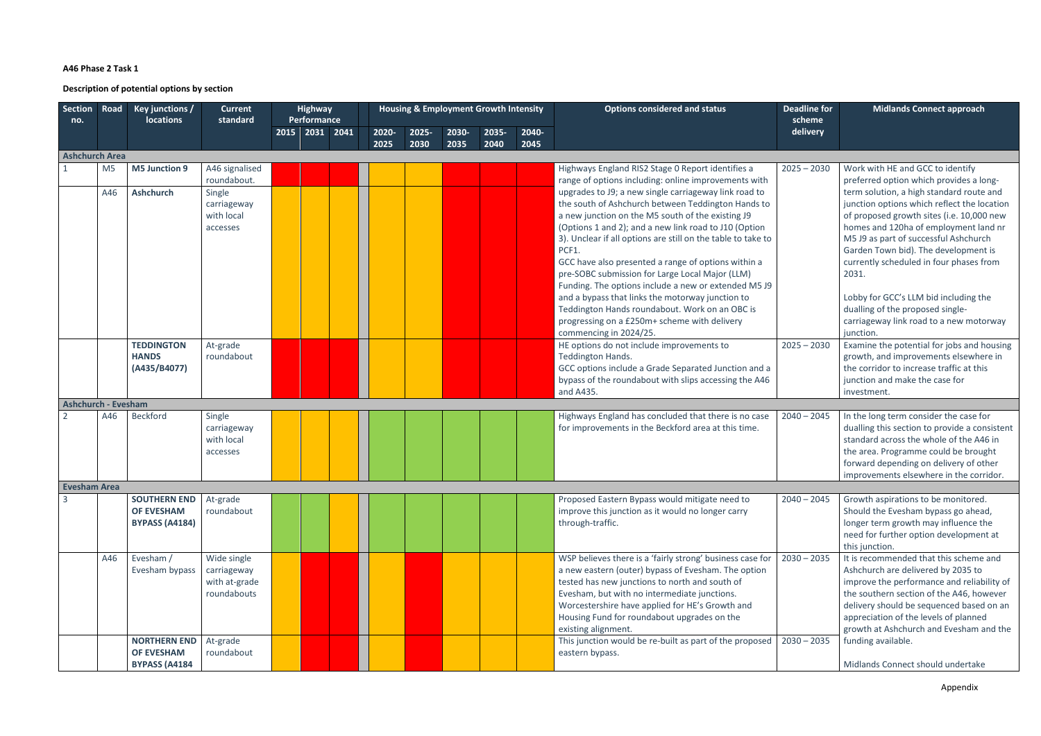## **A46 Phase 2 Task 1**

**Description of potential options by section**

| <b>Section</b><br>no.      | Road           | Key junctions /<br><b>locations</b>      | <b>Current</b><br>standard | <b>Highway</b><br>Performance |       |       | <b>Housing &amp; Employment Growth Intensity</b> |       |       | <b>Options considered and status</b>                                                                   | <b>Deadline for</b><br>scheme | <b>Midlands Connect approach</b>                                                |
|----------------------------|----------------|------------------------------------------|----------------------------|-------------------------------|-------|-------|--------------------------------------------------|-------|-------|--------------------------------------------------------------------------------------------------------|-------------------------------|---------------------------------------------------------------------------------|
|                            |                |                                          |                            | 2015 2031 2041                | 2020- | 2025- | 2030-                                            | 2035- | 2040- |                                                                                                        | delivery                      |                                                                                 |
| <b>Ashchurch Area</b>      |                |                                          |                            |                               | 2025  | 2030  | 2035                                             | 2040  | 2045  |                                                                                                        |                               |                                                                                 |
|                            | M <sub>5</sub> | M5 Junction 9                            | A46 signalised             |                               |       |       |                                                  |       |       | Highways England RIS2 Stage 0 Report identifies a                                                      | $2025 - 2030$                 | Work with HE and GCC to identify                                                |
|                            |                |                                          | roundabout.                |                               |       |       |                                                  |       |       | range of options including: online improvements with                                                   |                               | preferred option which provides a long-                                         |
|                            | A46            | <b>Ashchurch</b>                         | Single                     |                               |       |       |                                                  |       |       | upgrades to J9; a new single carriageway link road to                                                  |                               | term solution, a high standard route and                                        |
|                            |                |                                          | carriageway                |                               |       |       |                                                  |       |       | the south of Ashchurch between Teddington Hands to                                                     |                               | junction options which reflect the location                                     |
|                            |                |                                          | with local                 |                               |       |       |                                                  |       |       | a new junction on the M5 south of the existing J9                                                      |                               | of proposed growth sites (i.e. 10,000 new                                       |
|                            |                |                                          | accesses                   |                               |       |       |                                                  |       |       | (Options 1 and 2); and a new link road to J10 (Option                                                  |                               | homes and 120ha of employment land nr                                           |
|                            |                |                                          |                            |                               |       |       |                                                  |       |       | 3). Unclear if all options are still on the table to take to                                           |                               | M5 J9 as part of successful Ashchurch                                           |
|                            |                |                                          |                            |                               |       |       |                                                  |       |       | PCF1.                                                                                                  |                               | Garden Town bid). The development is<br>currently scheduled in four phases from |
|                            |                |                                          |                            |                               |       |       |                                                  |       |       | GCC have also presented a range of options within a<br>pre-SOBC submission for Large Local Major (LLM) |                               | 2031.                                                                           |
|                            |                |                                          |                            |                               |       |       |                                                  |       |       | Funding. The options include a new or extended M5 J9                                                   |                               |                                                                                 |
|                            |                |                                          |                            |                               |       |       |                                                  |       |       | and a bypass that links the motorway junction to                                                       |                               | Lobby for GCC's LLM bid including the                                           |
|                            |                |                                          |                            |                               |       |       |                                                  |       |       | Teddington Hands roundabout. Work on an OBC is                                                         |                               | dualling of the proposed single-                                                |
|                            |                |                                          |                            |                               |       |       |                                                  |       |       | progressing on a £250m+ scheme with delivery                                                           |                               | carriageway link road to a new motorway                                         |
|                            |                |                                          |                            |                               |       |       |                                                  |       |       | commencing in 2024/25.                                                                                 |                               | junction.                                                                       |
|                            |                | <b>TEDDINGTON</b>                        | At-grade                   |                               |       |       |                                                  |       |       | HE options do not include improvements to                                                              | $2025 - 2030$                 | Examine the potential for jobs and housing                                      |
|                            |                | <b>HANDS</b>                             | roundabout                 |                               |       |       |                                                  |       |       | Teddington Hands.                                                                                      |                               | growth, and improvements elsewhere in                                           |
|                            |                | (A435/B4077)                             |                            |                               |       |       |                                                  |       |       | GCC options include a Grade Separated Junction and a                                                   |                               | the corridor to increase traffic at this                                        |
|                            |                |                                          |                            |                               |       |       |                                                  |       |       | bypass of the roundabout with slips accessing the A46<br>and A435.                                     |                               | junction and make the case for<br>investment.                                   |
| <b>Ashchurch - Evesham</b> |                |                                          |                            |                               |       |       |                                                  |       |       |                                                                                                        |                               |                                                                                 |
| $\overline{2}$             | A46            | <b>Beckford</b>                          | Single                     |                               |       |       |                                                  |       |       | Highways England has concluded that there is no case                                                   | $2040 - 2045$                 | In the long term consider the case for                                          |
|                            |                |                                          | carriageway                |                               |       |       |                                                  |       |       | for improvements in the Beckford area at this time.                                                    |                               | dualling this section to provide a consistent                                   |
|                            |                |                                          | with local                 |                               |       |       |                                                  |       |       |                                                                                                        |                               | standard across the whole of the A46 in                                         |
|                            |                |                                          | accesses                   |                               |       |       |                                                  |       |       |                                                                                                        |                               | the area. Programme could be brought                                            |
|                            |                |                                          |                            |                               |       |       |                                                  |       |       |                                                                                                        |                               | forward depending on delivery of other                                          |
|                            |                |                                          |                            |                               |       |       |                                                  |       |       |                                                                                                        |                               | improvements elsewhere in the corridor.                                         |
| <b>Evesham Area</b>        |                |                                          |                            |                               |       |       |                                                  |       |       |                                                                                                        |                               |                                                                                 |
| $\mathbf{3}$               |                | <b>SOUTHERN END</b><br><b>OF EVESHAM</b> | At-grade<br>roundabout     |                               |       |       |                                                  |       |       | Proposed Eastern Bypass would mitigate need to<br>improve this junction as it would no longer carry    | $2040 - 2045$                 | Growth aspirations to be monitored.<br>Should the Evesham bypass go ahead,      |
|                            |                | <b>BYPASS (A4184)</b>                    |                            |                               |       |       |                                                  |       |       | through-traffic.                                                                                       |                               | longer term growth may influence the                                            |
|                            |                |                                          |                            |                               |       |       |                                                  |       |       |                                                                                                        |                               | need for further option development at                                          |
|                            |                |                                          |                            |                               |       |       |                                                  |       |       |                                                                                                        |                               | this junction.                                                                  |
|                            | A46            | Evesham /                                | Wide single                |                               |       |       |                                                  |       |       | WSP believes there is a 'fairly strong' business case for                                              | $2030 - 2035$                 | It is recommended that this scheme and                                          |
|                            |                | Evesham bypass                           | carriageway                |                               |       |       |                                                  |       |       | a new eastern (outer) bypass of Evesham. The option                                                    |                               | Ashchurch are delivered by 2035 to                                              |
|                            |                |                                          | with at-grade              |                               |       |       |                                                  |       |       | tested has new junctions to north and south of                                                         |                               | improve the performance and reliability of                                      |
|                            |                |                                          | roundabouts                |                               |       |       |                                                  |       |       | Evesham, but with no intermediate junctions.                                                           |                               | the southern section of the A46, however                                        |
|                            |                |                                          |                            |                               |       |       |                                                  |       |       | Worcestershire have applied for HE's Growth and                                                        |                               | delivery should be sequenced based on an                                        |
|                            |                |                                          |                            |                               |       |       |                                                  |       |       | Housing Fund for roundabout upgrades on the                                                            |                               | appreciation of the levels of planned                                           |
|                            |                |                                          |                            |                               |       |       |                                                  |       |       | existing alignment.                                                                                    | $2030 - 2035$                 | growth at Ashchurch and Evesham and the<br>funding available.                   |
|                            |                | <b>NORTHERN END</b><br><b>OF EVESHAM</b> | At-grade<br>roundabout     |                               |       |       |                                                  |       |       | This junction would be re-built as part of the proposed<br>eastern bypass.                             |                               |                                                                                 |
|                            |                | <b>BYPASS (A4184</b>                     |                            |                               |       |       |                                                  |       |       |                                                                                                        |                               | Midlands Connect should undertake                                               |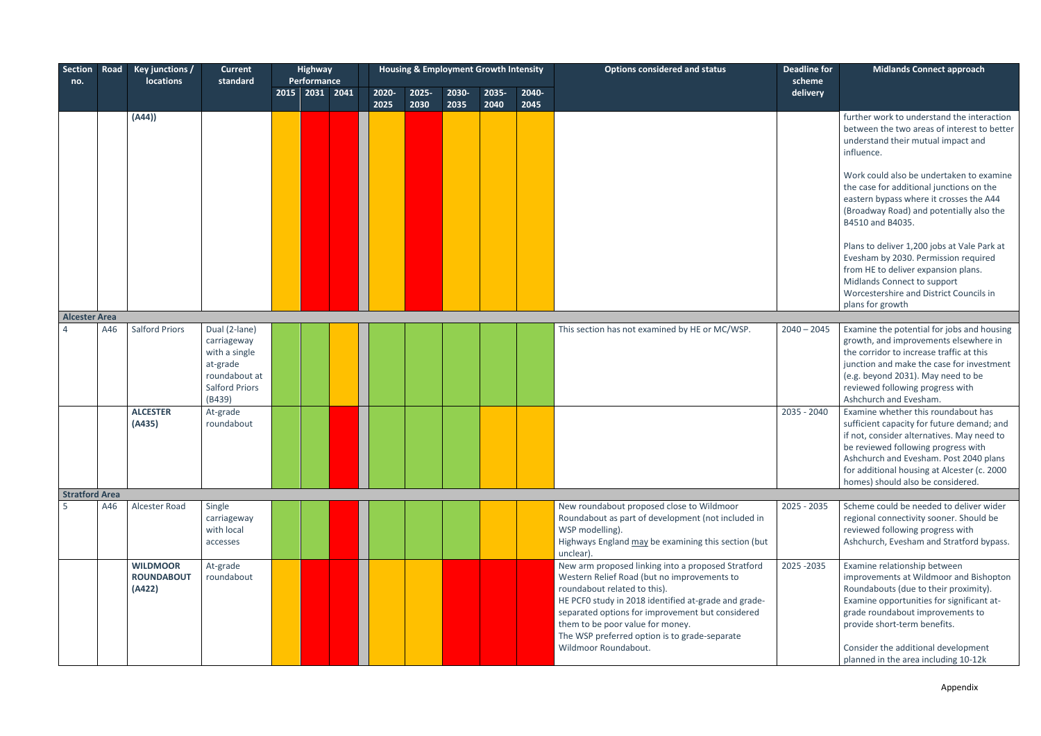| Section<br>no.        | Road | Key junctions /<br>locations                   | <b>Current</b><br>standard                                                                                    | <b>Highway</b><br>Performance |               | <b>Housing &amp; Employment Growth Intensity</b> |               |               |               | <b>Options considered and status</b>                                                                                                                                                                                                                                                                                                                       | <b>Deadline for</b><br>scheme | <b>Midlands Connect approach</b>                                                                                                                                                                                                                                                                                |
|-----------------------|------|------------------------------------------------|---------------------------------------------------------------------------------------------------------------|-------------------------------|---------------|--------------------------------------------------|---------------|---------------|---------------|------------------------------------------------------------------------------------------------------------------------------------------------------------------------------------------------------------------------------------------------------------------------------------------------------------------------------------------------------------|-------------------------------|-----------------------------------------------------------------------------------------------------------------------------------------------------------------------------------------------------------------------------------------------------------------------------------------------------------------|
|                       |      |                                                |                                                                                                               | 2015 2031 2041                | 2020-<br>2025 | 2025-<br>2030                                    | 2030-<br>2035 | 2035-<br>2040 | 2040-<br>2045 |                                                                                                                                                                                                                                                                                                                                                            | delivery                      |                                                                                                                                                                                                                                                                                                                 |
|                       |      | (A44))                                         |                                                                                                               |                               |               |                                                  |               |               |               |                                                                                                                                                                                                                                                                                                                                                            |                               | further work to understand the interaction<br>between the two areas of interest to better<br>understand their mutual impact and<br>influence.                                                                                                                                                                   |
|                       |      |                                                |                                                                                                               |                               |               |                                                  |               |               |               |                                                                                                                                                                                                                                                                                                                                                            |                               | Work could also be undertaken to examine<br>the case for additional junctions on the<br>eastern bypass where it crosses the A44<br>(Broadway Road) and potentially also the<br>B4510 and B4035.                                                                                                                 |
|                       |      |                                                |                                                                                                               |                               |               |                                                  |               |               |               |                                                                                                                                                                                                                                                                                                                                                            |                               | Plans to deliver 1,200 jobs at Vale Park at<br>Evesham by 2030. Permission required<br>from HE to deliver expansion plans.<br>Midlands Connect to support<br>Worcestershire and District Councils in<br>plans for growth                                                                                        |
| <b>Alcester Area</b>  |      |                                                |                                                                                                               |                               |               |                                                  |               |               |               |                                                                                                                                                                                                                                                                                                                                                            |                               |                                                                                                                                                                                                                                                                                                                 |
|                       | A46  | <b>Salford Priors</b>                          | Dual (2-lane)<br>carriageway<br>with a single<br>at-grade<br>roundabout at<br><b>Salford Priors</b><br>(B439) |                               |               |                                                  |               |               |               | This section has not examined by HE or MC/WSP.                                                                                                                                                                                                                                                                                                             | $2040 - 2045$                 | Examine the potential for jobs and housing<br>growth, and improvements elsewhere in<br>the corridor to increase traffic at this<br>junction and make the case for investment<br>(e.g. beyond 2031). May need to be<br>reviewed following progress with<br>Ashchurch and Evesham.                                |
|                       |      | <b>ALCESTER</b><br>(A435)                      | At-grade<br>roundabout                                                                                        |                               |               |                                                  |               |               |               |                                                                                                                                                                                                                                                                                                                                                            | 2035 - 2040                   | Examine whether this roundabout has<br>sufficient capacity for future demand; and<br>if not, consider alternatives. May need to<br>be reviewed following progress with<br>Ashchurch and Evesham. Post 2040 plans<br>for additional housing at Alcester (c. 2000<br>homes) should also be considered.            |
| <b>Stratford Area</b> |      |                                                |                                                                                                               |                               |               |                                                  |               |               |               |                                                                                                                                                                                                                                                                                                                                                            |                               |                                                                                                                                                                                                                                                                                                                 |
|                       | A46  | Alcester Road                                  | Single<br>carriageway<br>with local<br>accesses                                                               |                               |               |                                                  |               |               |               | New roundabout proposed close to Wildmoor<br>Roundabout as part of development (not included in<br>WSP modelling).<br>Highways England may be examining this section (but<br>unclear).                                                                                                                                                                     | 2025 - 2035                   | Scheme could be needed to deliver wider<br>regional connectivity sooner. Should be<br>reviewed following progress with<br>Ashchurch, Evesham and Stratford bypass.                                                                                                                                              |
|                       |      | <b>WILDMOOR</b><br><b>ROUNDABOUT</b><br>(A422) | At-grade<br>roundabout                                                                                        |                               |               |                                                  |               |               |               | New arm proposed linking into a proposed Stratford<br>Western Relief Road (but no improvements to<br>roundabout related to this).<br>HE PCF0 study in 2018 identified at-grade and grade-<br>separated options for improvement but considered<br>them to be poor value for money.<br>The WSP preferred option is to grade-separate<br>Wildmoor Roundabout. | 2025 - 2035                   | Examine relationship between<br>improvements at Wildmoor and Bishopton<br>Roundabouts (due to their proximity).<br>Examine opportunities for significant at-<br>grade roundabout improvements to<br>provide short-term benefits.<br>Consider the additional development<br>planned in the area including 10-12k |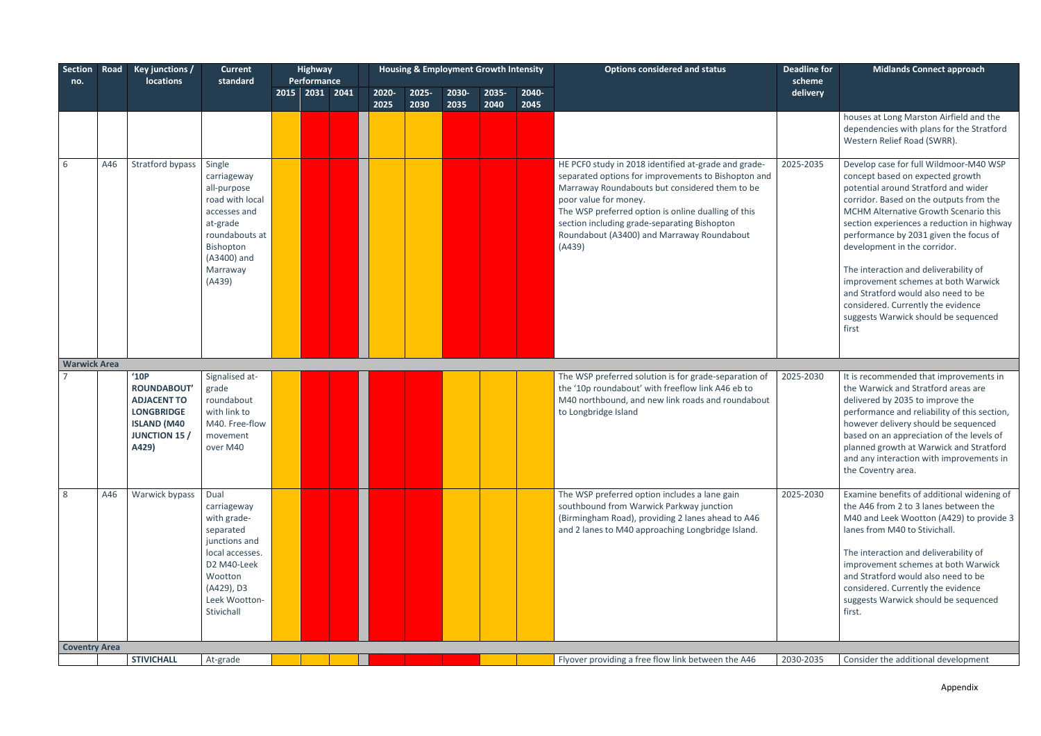| Section Road         |     | Key junctions /                                                                                                              | <b>Current</b>                                                                                                                                             | <b>Highway</b>                |               |               | <b>Housing &amp; Employment Growth Intensity</b> |               |               | <b>Options considered and status</b>                                                                                                                                                                                                                                                                                                                  | <b>Deadline for</b> | <b>Midlands Connect approach</b>                                                                                                                                                                                                                                                                                                                                                                                                                                                                                                             |
|----------------------|-----|------------------------------------------------------------------------------------------------------------------------------|------------------------------------------------------------------------------------------------------------------------------------------------------------|-------------------------------|---------------|---------------|--------------------------------------------------|---------------|---------------|-------------------------------------------------------------------------------------------------------------------------------------------------------------------------------------------------------------------------------------------------------------------------------------------------------------------------------------------------------|---------------------|----------------------------------------------------------------------------------------------------------------------------------------------------------------------------------------------------------------------------------------------------------------------------------------------------------------------------------------------------------------------------------------------------------------------------------------------------------------------------------------------------------------------------------------------|
| no.                  |     | <b>locations</b>                                                                                                             | standard                                                                                                                                                   | Performance<br>2015 2031 2041 | 2020-<br>2025 | 2025-<br>2030 | 2030-<br>2035                                    | 2035-<br>2040 | 2040-<br>2045 |                                                                                                                                                                                                                                                                                                                                                       | scheme<br>delivery  |                                                                                                                                                                                                                                                                                                                                                                                                                                                                                                                                              |
|                      |     |                                                                                                                              |                                                                                                                                                            |                               |               |               |                                                  |               |               |                                                                                                                                                                                                                                                                                                                                                       |                     | houses at Long Marston Airfield and the<br>dependencies with plans for the Stratford<br>Western Relief Road (SWRR).                                                                                                                                                                                                                                                                                                                                                                                                                          |
| 6                    | A46 | Stratford bypass                                                                                                             | Single<br>carriageway<br>all-purpose<br>road with local<br>accesses and<br>at-grade<br>roundabouts at<br>Bishopton<br>(A3400) and<br>Marraway<br>(A439)    |                               |               |               |                                                  |               |               | HE PCF0 study in 2018 identified at-grade and grade-<br>separated options for improvements to Bishopton and<br>Marraway Roundabouts but considered them to be<br>poor value for money.<br>The WSP preferred option is online dualling of this<br>section including grade-separating Bishopton<br>Roundabout (A3400) and Marraway Roundabout<br>(A439) | 2025-2035           | Develop case for full Wildmoor-M40 WSP<br>concept based on expected growth<br>potential around Stratford and wider<br>corridor. Based on the outputs from the<br>MCHM Alternative Growth Scenario this<br>section experiences a reduction in highway<br>performance by 2031 given the focus of<br>development in the corridor.<br>The interaction and deliverability of<br>improvement schemes at both Warwick<br>and Stratford would also need to be<br>considered. Currently the evidence<br>suggests Warwick should be sequenced<br>first |
| <b>Warwick Area</b>  |     |                                                                                                                              |                                                                                                                                                            |                               |               |               |                                                  |               |               |                                                                                                                                                                                                                                                                                                                                                       |                     |                                                                                                                                                                                                                                                                                                                                                                                                                                                                                                                                              |
|                      |     | '10P<br><b>ROUNDABOUT'</b><br><b>ADJACENT TO</b><br><b>LONGBRIDGE</b><br><b>ISLAND (M40</b><br><b>JUNCTION 15 /</b><br>A429) | Signalised at-<br>grade<br>roundabout<br>with link to<br>M40. Free-flow<br>movement<br>over M40                                                            |                               |               |               |                                                  |               |               | The WSP preferred solution is for grade-separation of<br>the '10p roundabout' with freeflow link A46 eb to<br>M40 northbound, and new link roads and roundabout<br>to Longbridge Island                                                                                                                                                               | 2025-2030           | It is recommended that improvements in<br>the Warwick and Stratford areas are<br>delivered by 2035 to improve the<br>performance and reliability of this section,<br>however delivery should be sequenced<br>based on an appreciation of the levels of<br>planned growth at Warwick and Stratford<br>and any interaction with improvements in<br>the Coventry area.                                                                                                                                                                          |
| 8                    | A46 | Warwick bypass                                                                                                               | Dual<br>carriageway<br>with grade-<br>separated<br>junctions and<br>local accesses.<br>D2 M40-Leek<br>Wootton<br>(A429), D3<br>Leek Wootton-<br>Stivichall |                               |               |               |                                                  |               |               | The WSP preferred option includes a lane gain<br>southbound from Warwick Parkway junction<br>(Birmingham Road), providing 2 lanes ahead to A46<br>and 2 lanes to M40 approaching Longbridge Island.                                                                                                                                                   | 2025-2030           | Examine benefits of additional widening of<br>the A46 from 2 to 3 lanes between the<br>M40 and Leek Wootton (A429) to provide 3<br>lanes from M40 to Stivichall.<br>The interaction and deliverability of<br>improvement schemes at both Warwick<br>and Stratford would also need to be<br>considered. Currently the evidence<br>suggests Warwick should be sequenced<br>first.                                                                                                                                                              |
| <b>Coventry Area</b> |     | <b>STIVICHALL</b>                                                                                                            | At-grade                                                                                                                                                   |                               |               |               |                                                  |               |               | Flyover providing a free flow link between the A46                                                                                                                                                                                                                                                                                                    | 2030-2035           | Consider the additional development                                                                                                                                                                                                                                                                                                                                                                                                                                                                                                          |
|                      |     |                                                                                                                              |                                                                                                                                                            |                               |               |               |                                                  |               |               |                                                                                                                                                                                                                                                                                                                                                       |                     |                                                                                                                                                                                                                                                                                                                                                                                                                                                                                                                                              |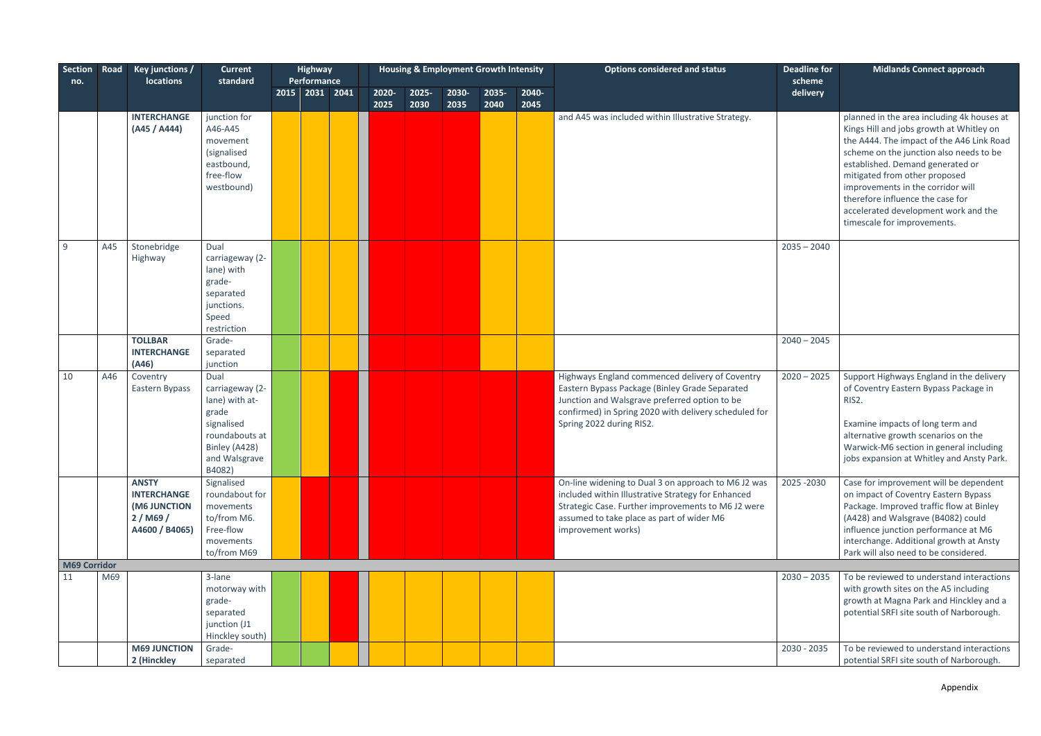| Section             | Road | Key junctions /<br><b>locations</b>                                            | <b>Current</b><br>standard                                                                                                     | <b>Highway</b><br><b>Performance</b> |       | <b>Housing &amp; Employment Growth Intensity</b> |       |       |       | <b>Options considered and status</b>                                                                                                                                                                                                    | <b>Deadline for</b><br>scheme | <b>Midlands Connect approach</b>                                                                                                                                                                                                                                                                                                                                                                    |
|---------------------|------|--------------------------------------------------------------------------------|--------------------------------------------------------------------------------------------------------------------------------|--------------------------------------|-------|--------------------------------------------------|-------|-------|-------|-----------------------------------------------------------------------------------------------------------------------------------------------------------------------------------------------------------------------------------------|-------------------------------|-----------------------------------------------------------------------------------------------------------------------------------------------------------------------------------------------------------------------------------------------------------------------------------------------------------------------------------------------------------------------------------------------------|
| no.                 |      |                                                                                |                                                                                                                                | 2015 2031 2041                       | 2020- | 2025-                                            | 2030- | 2035- | 2040- |                                                                                                                                                                                                                                         | delivery                      |                                                                                                                                                                                                                                                                                                                                                                                                     |
|                     |      |                                                                                |                                                                                                                                |                                      | 2025  | 2030                                             | 2035  | 2040  | 2045  |                                                                                                                                                                                                                                         |                               |                                                                                                                                                                                                                                                                                                                                                                                                     |
|                     |      | <b>INTERCHANGE</b><br>(A45 / A444)                                             | junction for<br>A46-A45<br>movement<br>(signalised<br>eastbound,<br>free-flow<br>westbound)                                    |                                      |       |                                                  |       |       |       | and A45 was included within Illustrative Strategy.                                                                                                                                                                                      |                               | planned in the area including 4k houses at<br>Kings Hill and jobs growth at Whitley on<br>the A444. The impact of the A46 Link Road<br>scheme on the junction also needs to be<br>established. Demand generated or<br>mitigated from other proposed<br>improvements in the corridor will<br>therefore influence the case for<br>accelerated development work and the<br>timescale for improvements. |
| 9                   | A45  | Stonebridge<br>Highway                                                         | Dual<br>carriageway (2-<br>lane) with<br>grade-<br>separated<br>junctions.<br>Speed<br>restriction                             |                                      |       |                                                  |       |       |       |                                                                                                                                                                                                                                         | $2035 - 2040$                 |                                                                                                                                                                                                                                                                                                                                                                                                     |
|                     |      | <b>TOLLBAR</b>                                                                 | Grade-                                                                                                                         |                                      |       |                                                  |       |       |       |                                                                                                                                                                                                                                         | $2040 - 2045$                 |                                                                                                                                                                                                                                                                                                                                                                                                     |
|                     |      | <b>INTERCHANGE</b><br>(A46)                                                    | separated<br>junction                                                                                                          |                                      |       |                                                  |       |       |       |                                                                                                                                                                                                                                         |                               |                                                                                                                                                                                                                                                                                                                                                                                                     |
| 10                  | A46  | Coventry<br>Eastern Bypass                                                     | Dual<br>carriageway (2-<br>lane) with at-<br>grade<br>signalised<br>roundabouts at<br>Binley (A428)<br>and Walsgrave<br>B4082) |                                      |       |                                                  |       |       |       | Highways England commenced delivery of Coventry<br>Eastern Bypass Package (Binley Grade Separated<br>Junction and Walsgrave preferred option to be<br>confirmed) in Spring 2020 with delivery scheduled for<br>Spring 2022 during RIS2. | $2020 - 2025$                 | Support Highways England in the delivery<br>of Coventry Eastern Bypass Package in<br>RIS2.<br>Examine impacts of long term and<br>alternative growth scenarios on the<br>Warwick-M6 section in general including<br>jobs expansion at Whitley and Ansty Park.                                                                                                                                       |
|                     |      | <b>ANSTY</b><br><b>INTERCHANGE</b><br>(M6 JUNCTION<br>2/M69/<br>A4600 / B4065) | Signalised<br>roundabout for<br>movements<br>to/from M6.<br>Free-flow<br>movements<br>to/from M69                              |                                      |       |                                                  |       |       |       | On-line widening to Dual 3 on approach to M6 J2 was<br>included within Illustrative Strategy for Enhanced<br>Strategic Case. Further improvements to M6 J2 were<br>assumed to take place as part of wider M6<br>improvement works)      | 2025 - 2030                   | Case for improvement will be dependent<br>on impact of Coventry Eastern Bypass<br>Package. Improved traffic flow at Binley<br>(A428) and Walsgrave (B4082) could<br>influence junction performance at M6<br>interchange. Additional growth at Ansty<br>Park will also need to be considered.                                                                                                        |
| <b>M69 Corridor</b> |      |                                                                                |                                                                                                                                |                                      |       |                                                  |       |       |       |                                                                                                                                                                                                                                         |                               |                                                                                                                                                                                                                                                                                                                                                                                                     |
| 11                  | M69  |                                                                                | 3-lane<br>motorway with<br>grade-<br>separated<br>junction (J1<br>Hinckley south)                                              |                                      |       |                                                  |       |       |       |                                                                                                                                                                                                                                         | $2030 - 2035$                 | To be reviewed to understand interactions<br>with growth sites on the A5 including<br>growth at Magna Park and Hinckley and a<br>potential SRFI site south of Narborough.                                                                                                                                                                                                                           |
|                     |      | <b>M69 JUNCTION</b><br>2 (Hinckley                                             | Grade-<br>separated                                                                                                            |                                      |       |                                                  |       |       |       |                                                                                                                                                                                                                                         | 2030 - 2035                   | To be reviewed to understand interactions<br>potential SRFI site south of Narborough.                                                                                                                                                                                                                                                                                                               |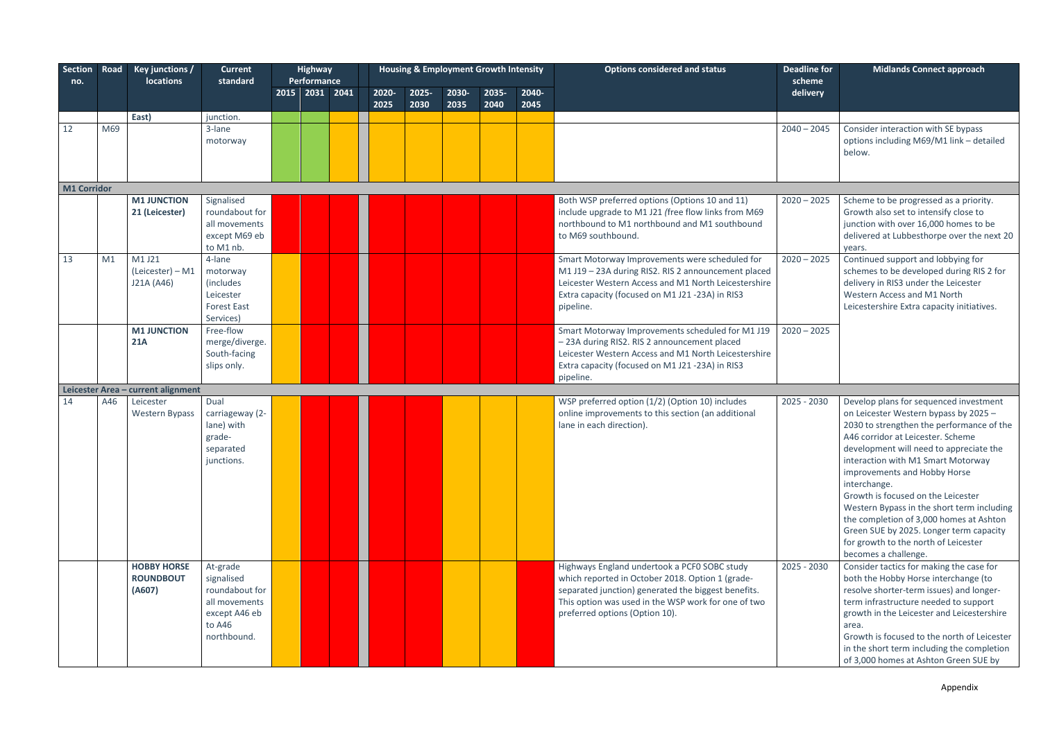Appendix

| Section Road<br>no. |     | Key junctions /<br><b>locations</b>              | <b>Current</b><br>standard                                                                          | <b>Highway</b><br>Performance |               |               |               | <b>Housing &amp; Employment Growth Intensity</b> |               | <b>Options considered and status</b>                                                                                                                                                                                                             | <b>Deadline for</b><br>scheme | <b>Midlands Connect approach</b>                                                                                                                                                                                                                                                                                                                                                                                                                                                                                                             |
|---------------------|-----|--------------------------------------------------|-----------------------------------------------------------------------------------------------------|-------------------------------|---------------|---------------|---------------|--------------------------------------------------|---------------|--------------------------------------------------------------------------------------------------------------------------------------------------------------------------------------------------------------------------------------------------|-------------------------------|----------------------------------------------------------------------------------------------------------------------------------------------------------------------------------------------------------------------------------------------------------------------------------------------------------------------------------------------------------------------------------------------------------------------------------------------------------------------------------------------------------------------------------------------|
|                     |     |                                                  |                                                                                                     | 2015 2031 2041                | 2020-<br>2025 | 2025-<br>2030 | 2030-<br>2035 | 2035-<br>2040                                    | 2040-<br>2045 |                                                                                                                                                                                                                                                  | delivery                      |                                                                                                                                                                                                                                                                                                                                                                                                                                                                                                                                              |
|                     |     | East)                                            | junction.                                                                                           |                               |               |               |               |                                                  |               |                                                                                                                                                                                                                                                  |                               |                                                                                                                                                                                                                                                                                                                                                                                                                                                                                                                                              |
| 12                  | M69 |                                                  | 3-lane<br>motorway                                                                                  |                               |               |               |               |                                                  |               |                                                                                                                                                                                                                                                  | $2040 - 2045$                 | Consider interaction with SE bypass<br>options including M69/M1 link - detailed<br>below.                                                                                                                                                                                                                                                                                                                                                                                                                                                    |
| M1 Corridor         |     |                                                  |                                                                                                     |                               |               |               |               |                                                  |               |                                                                                                                                                                                                                                                  |                               |                                                                                                                                                                                                                                                                                                                                                                                                                                                                                                                                              |
|                     |     | <b>M1 JUNCTION</b><br>21 (Leicester)             | Signalised<br>roundabout for<br>all movements<br>except M69 eb<br>to M1 nb.                         |                               |               |               |               |                                                  |               | Both WSP preferred options (Options 10 and 11)<br>include upgrade to M1 J21 (free flow links from M69<br>northbound to M1 northbound and M1 southbound<br>to M69 southbound.                                                                     | $2020 - 2025$                 | Scheme to be progressed as a priority.<br>Growth also set to intensify close to<br>junction with over 16,000 homes to be<br>delivered at Lubbesthorpe over the next 20<br>years.                                                                                                                                                                                                                                                                                                                                                             |
| 13                  | M1  | M1 J21<br>(Leicester) - M1<br>J21A (A46)         | 4-lane<br>motorway<br><i>(includes)</i><br>Leicester<br><b>Forest East</b><br>Services)             |                               |               |               |               |                                                  |               | Smart Motorway Improvements were scheduled for<br>M1 J19 - 23A during RIS2. RIS 2 announcement placed<br>Leicester Western Access and M1 North Leicestershire<br>Extra capacity (focused on M1 J21 -23A) in RIS3<br>pipeline.                    | $2020 - 2025$                 | Continued support and lobbying for<br>schemes to be developed during RIS 2 for<br>delivery in RIS3 under the Leicester<br>Western Access and M1 North<br>Leicestershire Extra capacity initiatives.                                                                                                                                                                                                                                                                                                                                          |
|                     |     | <b>M1 JUNCTION</b><br><b>21A</b>                 | Free-flow<br>merge/diverge.<br>South-facing<br>slips only.                                          |                               |               |               |               |                                                  |               | Smart Motorway Improvements scheduled for M1 J19<br>- 23A during RIS2. RIS 2 announcement placed<br>Leicester Western Access and M1 North Leicestershire<br>Extra capacity (focused on M1 J21 -23A) in RIS3<br>pipeline.                         | $2020 - 2025$                 |                                                                                                                                                                                                                                                                                                                                                                                                                                                                                                                                              |
|                     |     | Leicester Area - current alignment               |                                                                                                     |                               |               |               |               |                                                  |               |                                                                                                                                                                                                                                                  |                               |                                                                                                                                                                                                                                                                                                                                                                                                                                                                                                                                              |
| 14                  | A46 | Leicester<br><b>Western Bypass</b>               | Dual<br>carriageway (2-<br>lane) with<br>grade-<br>separated<br>junctions.                          |                               |               |               |               |                                                  |               | WSP preferred option (1/2) (Option 10) includes<br>online improvements to this section (an additional<br>lane in each direction).                                                                                                                | 2025 - 2030                   | Develop plans for sequenced investment<br>on Leicester Western bypass by 2025 -<br>2030 to strengthen the performance of the<br>A46 corridor at Leicester. Scheme<br>development will need to appreciate the<br>interaction with M1 Smart Motorway<br>improvements and Hobby Horse<br>interchange.<br>Growth is focused on the Leicester<br>Western Bypass in the short term including<br>the completion of 3,000 homes at Ashton<br>Green SUE by 2025. Longer term capacity<br>for growth to the north of Leicester<br>becomes a challenge. |
|                     |     | <b>HOBBY HORSE</b><br><b>ROUNDBOUT</b><br>(A607) | At-grade<br>signalised<br>roundabout for<br>all movements<br>except A46 eb<br>to A46<br>northbound. |                               |               |               |               |                                                  |               | Highways England undertook a PCF0 SOBC study<br>which reported in October 2018. Option 1 (grade-<br>separated junction) generated the biggest benefits.<br>This option was used in the WSP work for one of two<br>preferred options (Option 10). | $2025 - 2030$                 | Consider tactics for making the case for<br>both the Hobby Horse interchange (to<br>resolve shorter-term issues) and longer-<br>term infrastructure needed to support<br>growth in the Leicester and Leicestershire<br>area.<br>Growth is focused to the north of Leicester<br>in the short term including the completion<br>of 3,000 homes at Ashton Green SUE by                                                                                                                                                                           |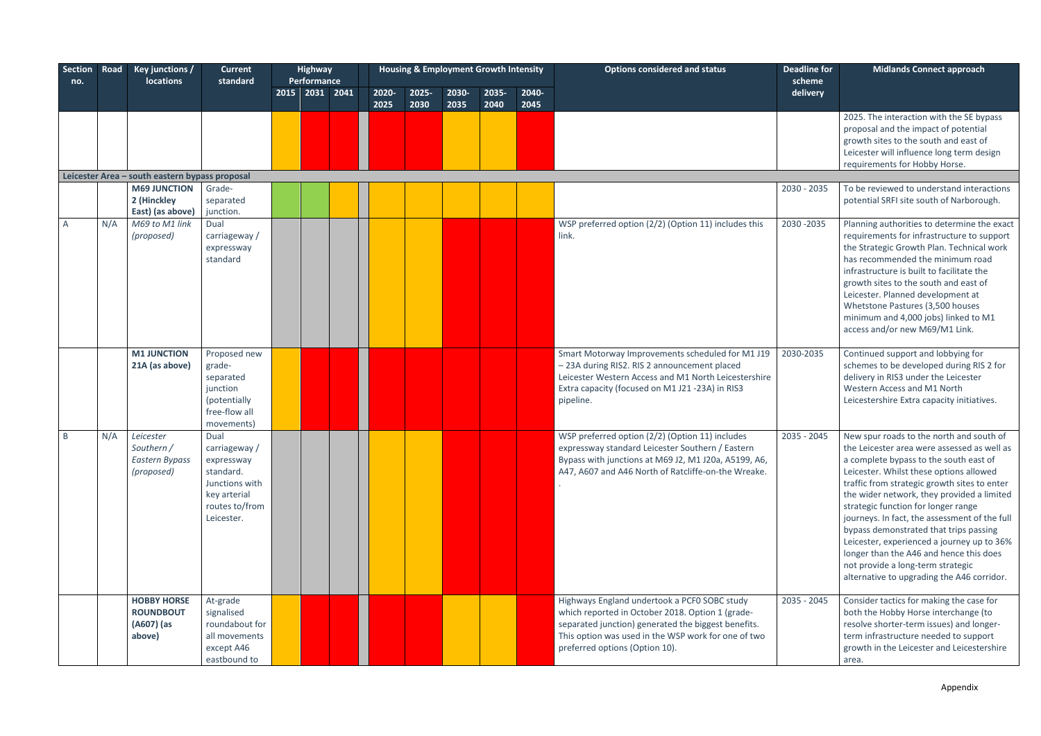| <b>Section</b><br>no. | Road | Key junctions /<br><b>locations</b>                            | <b>Current</b><br>standard                                                                                         | <b>Highway</b><br>Performance |       |       |       | <b>Housing &amp; Employment Growth Intensity</b> |       | <b>Options considered and status</b>                                                                                                                                                                                                             | <b>Deadline for</b><br>scheme | <b>Midlands Connect approach</b>                                                                                                                                                                                                                                                                                                                                                                                                                                                                                                                                                         |
|-----------------------|------|----------------------------------------------------------------|--------------------------------------------------------------------------------------------------------------------|-------------------------------|-------|-------|-------|--------------------------------------------------|-------|--------------------------------------------------------------------------------------------------------------------------------------------------------------------------------------------------------------------------------------------------|-------------------------------|------------------------------------------------------------------------------------------------------------------------------------------------------------------------------------------------------------------------------------------------------------------------------------------------------------------------------------------------------------------------------------------------------------------------------------------------------------------------------------------------------------------------------------------------------------------------------------------|
|                       |      |                                                                |                                                                                                                    | 2015 2031 2041                | 2020- | 2025- | 2030- | 2035-                                            | 2040- |                                                                                                                                                                                                                                                  | delivery                      |                                                                                                                                                                                                                                                                                                                                                                                                                                                                                                                                                                                          |
|                       |      |                                                                |                                                                                                                    |                               | 2025  | 2030  | 2035  | 2040                                             | 2045  |                                                                                                                                                                                                                                                  |                               |                                                                                                                                                                                                                                                                                                                                                                                                                                                                                                                                                                                          |
|                       |      |                                                                |                                                                                                                    |                               |       |       |       |                                                  |       |                                                                                                                                                                                                                                                  |                               | 2025. The interaction with the SE bypass<br>proposal and the impact of potential<br>growth sites to the south and east of<br>Leicester will influence long term design<br>requirements for Hobby Horse.                                                                                                                                                                                                                                                                                                                                                                                  |
|                       |      | Leicester Area - south eastern bypass proposal                 |                                                                                                                    |                               |       |       |       |                                                  |       |                                                                                                                                                                                                                                                  |                               |                                                                                                                                                                                                                                                                                                                                                                                                                                                                                                                                                                                          |
|                       |      | <b>M69 JUNCTION</b><br>2 (Hinckley<br>East) (as above)         | Grade-<br>separated<br>junction.                                                                                   |                               |       |       |       |                                                  |       |                                                                                                                                                                                                                                                  | 2030 - 2035                   | To be reviewed to understand interactions<br>potential SRFI site south of Narborough.                                                                                                                                                                                                                                                                                                                                                                                                                                                                                                    |
| A                     | N/A  | M69 to M1 link<br>(proposed)                                   | Dual<br>carriageway /<br>expressway<br>standard                                                                    |                               |       |       |       |                                                  |       | WSP preferred option (2/2) (Option 11) includes this<br>link.                                                                                                                                                                                    | 2030 - 2035                   | Planning authorities to determine the exact<br>requirements for infrastructure to support<br>the Strategic Growth Plan. Technical work<br>has recommended the minimum road<br>infrastructure is built to facilitate the<br>growth sites to the south and east of<br>Leicester. Planned development at<br>Whetstone Pastures (3,500 houses<br>minimum and 4,000 jobs) linked to M1<br>access and/or new M69/M1 Link.                                                                                                                                                                      |
|                       |      | <b>M1 JUNCTION</b><br>21A (as above)                           | Proposed new<br>grade-<br>separated<br>junction<br>(potentially<br>free-flow all<br>movements)                     |                               |       |       |       |                                                  |       | Smart Motorway Improvements scheduled for M1 J19<br>-23A during RIS2. RIS 2 announcement placed<br>Leicester Western Access and M1 North Leicestershire<br>Extra capacity (focused on M1 J21 -23A) in RIS3<br>pipeline.                          | 2030-2035                     | Continued support and lobbying for<br>schemes to be developed during RIS 2 for<br>delivery in RIS3 under the Leicester<br>Western Access and M1 North<br>Leicestershire Extra capacity initiatives.                                                                                                                                                                                                                                                                                                                                                                                      |
| B                     | N/A  | Leicester<br>Southern /<br><b>Eastern Bypass</b><br>(proposed) | Dual<br>carriageway /<br>expressway<br>standard.<br>Junctions with<br>key arterial<br>routes to/from<br>Leicester. |                               |       |       |       |                                                  |       | WSP preferred option (2/2) (Option 11) includes<br>expressway standard Leicester Southern / Eastern<br>Bypass with junctions at M69 J2, M1 J20a, A5199, A6,<br>A47, A607 and A46 North of Ratcliffe-on-the Wreake.                               | 2035 - 2045                   | New spur roads to the north and south of<br>the Leicester area were assessed as well as<br>a complete bypass to the south east of<br>Leicester. Whilst these options allowed<br>traffic from strategic growth sites to enter<br>the wider network, they provided a limited<br>strategic function for longer range<br>journeys. In fact, the assessment of the full<br>bypass demonstrated that trips passing<br>Leicester, experienced a journey up to 36%<br>longer than the A46 and hence this does<br>not provide a long-term strategic<br>alternative to upgrading the A46 corridor. |
|                       |      | <b>HOBBY HORSE</b><br><b>ROUNDBOUT</b><br>(A607) (as<br>above) | At-grade<br>signalised<br>roundabout for<br>all movements<br>except A46<br>eastbound to                            |                               |       |       |       |                                                  |       | Highways England undertook a PCF0 SOBC study<br>which reported in October 2018. Option 1 (grade-<br>separated junction) generated the biggest benefits.<br>This option was used in the WSP work for one of two<br>preferred options (Option 10). | 2035 - 2045                   | Consider tactics for making the case for<br>both the Hobby Horse interchange (to<br>resolve shorter-term issues) and longer-<br>term infrastructure needed to support<br>growth in the Leicester and Leicestershire<br>area.                                                                                                                                                                                                                                                                                                                                                             |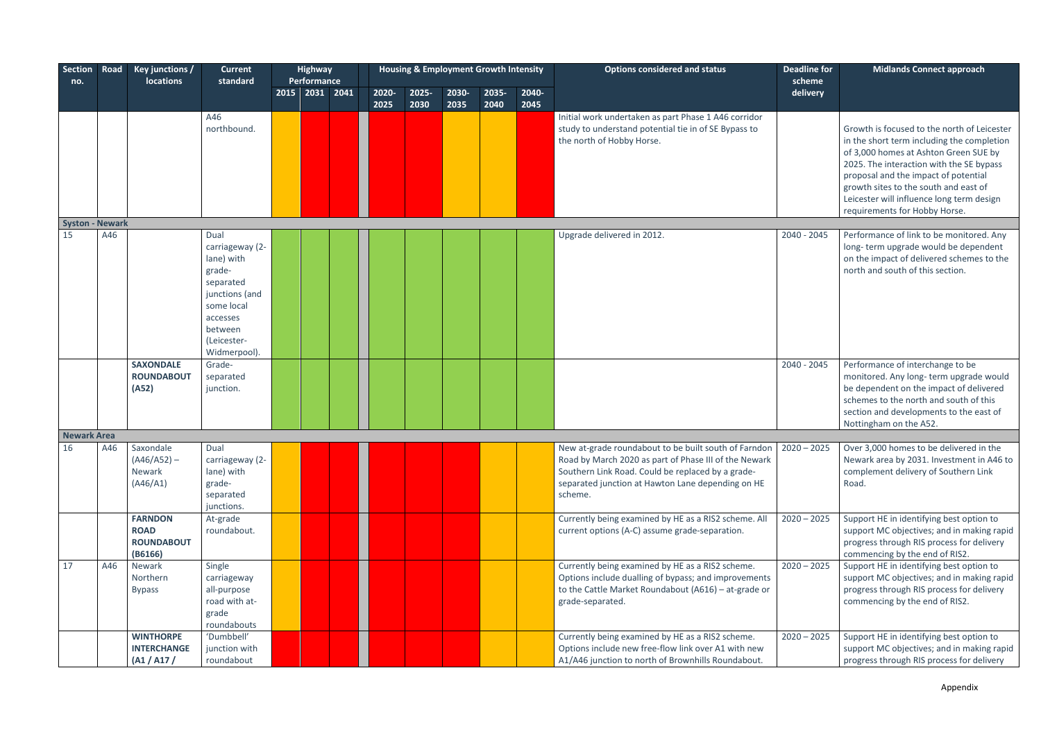| Section Road<br>no.    |     | <b>Key junctions /</b><br>locations                           | <b>Current</b><br>standard                                                                                                                         | <b>Highway</b><br>Performance |       | <b>Housing &amp; Employment Growth Intensity</b> |       |       |       | <b>Options considered and status</b>                                                                                                                                                                                                             | <b>Deadline for</b><br>scheme | <b>Midlands Connect approach</b>                                                                                                                                                                                                                                                                                                              |
|------------------------|-----|---------------------------------------------------------------|----------------------------------------------------------------------------------------------------------------------------------------------------|-------------------------------|-------|--------------------------------------------------|-------|-------|-------|--------------------------------------------------------------------------------------------------------------------------------------------------------------------------------------------------------------------------------------------------|-------------------------------|-----------------------------------------------------------------------------------------------------------------------------------------------------------------------------------------------------------------------------------------------------------------------------------------------------------------------------------------------|
|                        |     |                                                               |                                                                                                                                                    | 2015 2031 2041                | 2020- | 2025-                                            | 2030- | 2035- | 2040- |                                                                                                                                                                                                                                                  | delivery                      |                                                                                                                                                                                                                                                                                                                                               |
|                        |     |                                                               |                                                                                                                                                    |                               | 2025  | 2030                                             | 2035  | 2040  | 2045  |                                                                                                                                                                                                                                                  |                               |                                                                                                                                                                                                                                                                                                                                               |
|                        |     |                                                               | A46<br>northbound.                                                                                                                                 |                               |       |                                                  |       |       |       | Initial work undertaken as part Phase 1 A46 corridor<br>study to understand potential tie in of SE Bypass to<br>the north of Hobby Horse.                                                                                                        |                               | Growth is focused to the north of Leicester<br>in the short term including the completion<br>of 3,000 homes at Ashton Green SUE by<br>2025. The interaction with the SE bypass<br>proposal and the impact of potential<br>growth sites to the south and east of<br>Leicester will influence long term design<br>requirements for Hobby Horse. |
| <b>Syston - Newark</b> |     |                                                               |                                                                                                                                                    |                               |       |                                                  |       |       |       |                                                                                                                                                                                                                                                  |                               |                                                                                                                                                                                                                                                                                                                                               |
| 15                     | A46 |                                                               | Dual<br>carriageway (2-<br>lane) with<br>grade-<br>separated<br>junctions (and<br>some local<br>accesses<br>between<br>(Leicester-<br>Widmerpool). |                               |       |                                                  |       |       |       | Upgrade delivered in 2012.                                                                                                                                                                                                                       | 2040 - 2045                   | Performance of link to be monitored. Any<br>long-term upgrade would be dependent<br>on the impact of delivered schemes to the<br>north and south of this section.                                                                                                                                                                             |
|                        |     | <b>SAXONDALE</b>                                              | Grade-                                                                                                                                             |                               |       |                                                  |       |       |       |                                                                                                                                                                                                                                                  | 2040 - 2045                   | Performance of interchange to be                                                                                                                                                                                                                                                                                                              |
|                        |     | <b>ROUNDABOUT</b><br>(A52)                                    | separated<br>junction.                                                                                                                             |                               |       |                                                  |       |       |       |                                                                                                                                                                                                                                                  |                               | monitored. Any long-term upgrade would<br>be dependent on the impact of delivered<br>schemes to the north and south of this<br>section and developments to the east of<br>Nottingham on the A52.                                                                                                                                              |
| <b>Newark Area</b>     |     |                                                               |                                                                                                                                                    |                               |       |                                                  |       |       |       |                                                                                                                                                                                                                                                  |                               |                                                                                                                                                                                                                                                                                                                                               |
| 16                     | A46 | Saxondale<br>$(A46/A52) -$<br>Newark<br>(A46/A1)              | Dual<br>carriageway (2-<br>lane) with<br>grade-<br>separated<br>junctions.                                                                         |                               |       |                                                  |       |       |       | New at-grade roundabout to be built south of Farndon   2020 - 2025<br>Road by March 2020 as part of Phase III of the Newark<br>Southern Link Road. Could be replaced by a grade-<br>separated junction at Hawton Lane depending on HE<br>scheme. |                               | Over 3,000 homes to be delivered in the<br>Newark area by 2031. Investment in A46 to<br>complement delivery of Southern Link<br>Road.                                                                                                                                                                                                         |
|                        |     | <b>FARNDON</b><br><b>ROAD</b><br><b>ROUNDABOUT</b><br>(B6166) | At-grade<br>roundabout.                                                                                                                            |                               |       |                                                  |       |       |       | Currently being examined by HE as a RIS2 scheme. All<br>current options (A-C) assume grade-separation.                                                                                                                                           | $2020 - 2025$                 | Support HE in identifying best option to<br>support MC objectives; and in making rapid<br>progress through RIS process for delivery<br>commencing by the end of RIS2.                                                                                                                                                                         |
| 17                     | A46 | Newark<br>Northern<br><b>Bypass</b>                           | Single<br>carriageway<br>all-purpose<br>road with at-<br>grade<br>roundabouts                                                                      |                               |       |                                                  |       |       |       | Currently being examined by HE as a RIS2 scheme.<br>Options include dualling of bypass; and improvements<br>to the Cattle Market Roundabout (A616) - at-grade or<br>grade-separated.                                                             | $2020 - 2025$                 | Support HE in identifying best option to<br>support MC objectives; and in making rapid<br>progress through RIS process for delivery<br>commencing by the end of RIS2.                                                                                                                                                                         |
|                        |     | <b>WINTHORPE</b>                                              | 'Dumbbell'                                                                                                                                         |                               |       |                                                  |       |       |       | Currently being examined by HE as a RIS2 scheme.                                                                                                                                                                                                 | $2020 - 2025$                 | Support HE in identifying best option to                                                                                                                                                                                                                                                                                                      |
|                        |     | <b>INTERCHANGE</b><br>(A1 / A17)                              | junction with<br>roundabout                                                                                                                        |                               |       |                                                  |       |       |       | Options include new free-flow link over A1 with new<br>A1/A46 junction to north of Brownhills Roundabout.                                                                                                                                        |                               | support MC objectives; and in making rapid<br>progress through RIS process for delivery                                                                                                                                                                                                                                                       |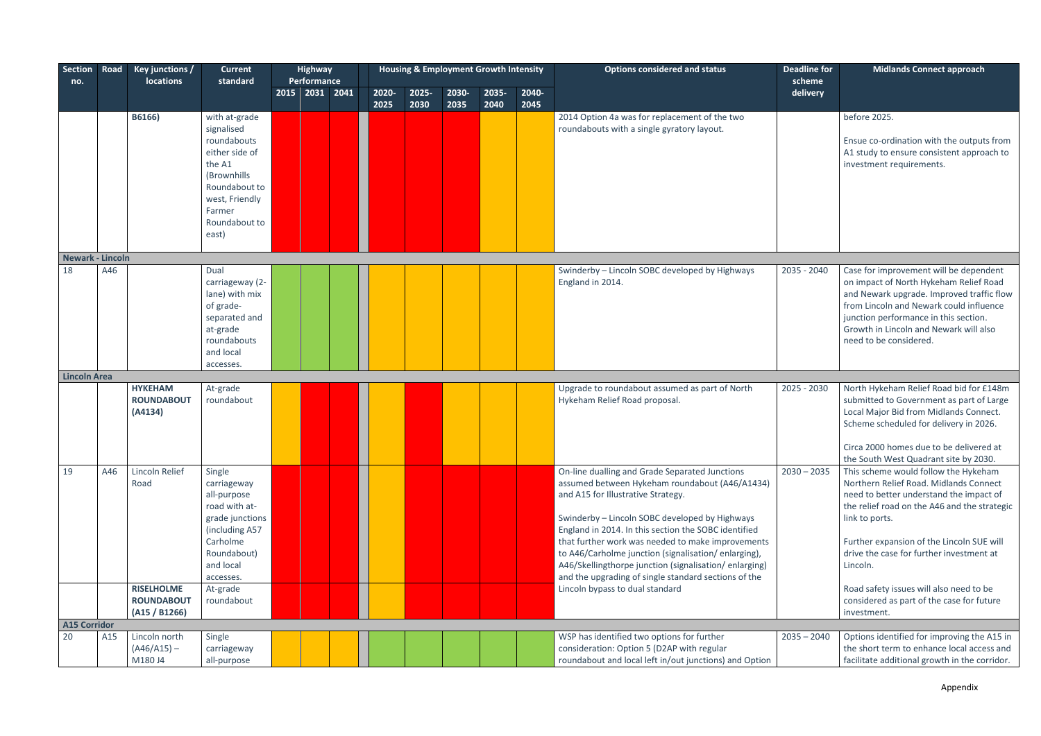| Section Road<br>no. |     | <b>Key junctions /</b><br><b>locations</b>     | <b>Current</b><br>standard                                                                                                                                   | <b>Highway</b><br>Performance |               |                  | <b>Housing &amp; Employment Growth Intensity</b> |               |               | <b>Options considered and status</b>                                                                                                                                                                                                                                                                                                                                                                                                                                          | <b>Deadline for</b><br>scheme | <b>Midlands Connect approach</b>                                                                                                                                                                                                                                                                 |
|---------------------|-----|------------------------------------------------|--------------------------------------------------------------------------------------------------------------------------------------------------------------|-------------------------------|---------------|------------------|--------------------------------------------------|---------------|---------------|-------------------------------------------------------------------------------------------------------------------------------------------------------------------------------------------------------------------------------------------------------------------------------------------------------------------------------------------------------------------------------------------------------------------------------------------------------------------------------|-------------------------------|--------------------------------------------------------------------------------------------------------------------------------------------------------------------------------------------------------------------------------------------------------------------------------------------------|
|                     |     |                                                |                                                                                                                                                              | 2015 2031 2041                | 2020-<br>2025 | $2025 -$<br>2030 | 2030-<br>2035                                    | 2035-<br>2040 | 2040-<br>2045 |                                                                                                                                                                                                                                                                                                                                                                                                                                                                               | delivery                      |                                                                                                                                                                                                                                                                                                  |
|                     |     | B6166)                                         | with at-grade<br>signalised<br>roundabouts<br>either side of<br>the A1<br>(Brownhills<br>Roundabout to<br>west, Friendly<br>Farmer<br>Roundabout to<br>east) |                               |               |                  |                                                  |               |               | 2014 Option 4a was for replacement of the two<br>roundabouts with a single gyratory layout.                                                                                                                                                                                                                                                                                                                                                                                   |                               | before 2025.<br>Ensue co-ordination with the outputs from<br>A1 study to ensure consistent approach to<br>investment requirements.                                                                                                                                                               |
| Newark - Lincoln    |     |                                                |                                                                                                                                                              |                               |               |                  |                                                  |               |               |                                                                                                                                                                                                                                                                                                                                                                                                                                                                               |                               |                                                                                                                                                                                                                                                                                                  |
| 18                  | A46 |                                                | Dual<br>carriageway (2-<br>lane) with mix<br>of grade-<br>separated and<br>at-grade<br>roundabouts<br>and local<br>accesses.                                 |                               |               |                  |                                                  |               |               | Swinderby - Lincoln SOBC developed by Highways<br>England in 2014.                                                                                                                                                                                                                                                                                                                                                                                                            | 2035 - 2040                   | Case for improvement will be dependent<br>on impact of North Hykeham Relief Road<br>and Newark upgrade. Improved traffic flow<br>from Lincoln and Newark could influence<br>junction performance in this section.<br>Growth in Lincoln and Newark will also<br>need to be considered.            |
| <b>Lincoln Area</b> |     |                                                |                                                                                                                                                              |                               |               |                  |                                                  |               |               |                                                                                                                                                                                                                                                                                                                                                                                                                                                                               |                               |                                                                                                                                                                                                                                                                                                  |
|                     |     | <b>HYKEHAM</b><br><b>ROUNDABOUT</b><br>(A4134) | At-grade<br>roundabout                                                                                                                                       |                               |               |                  |                                                  |               |               | Upgrade to roundabout assumed as part of North<br>Hykeham Relief Road proposal.                                                                                                                                                                                                                                                                                                                                                                                               | 2025 - 2030                   | North Hykeham Relief Road bid for £148m<br>submitted to Government as part of Large<br>Local Major Bid from Midlands Connect.<br>Scheme scheduled for delivery in 2026.<br>Circa 2000 homes due to be delivered at<br>the South West Quadrant site by 2030.                                      |
| 19                  | A46 | Lincoln Relief<br>Road                         | Single<br>carriageway<br>all-purpose<br>road with at-<br>grade junctions<br>(including A57<br>Carholme<br>Roundabout)<br>and local<br>accesses.              |                               |               |                  |                                                  |               |               | On-line dualling and Grade Separated Junctions<br>assumed between Hykeham roundabout (A46/A1434)<br>and A15 for Illustrative Strategy.<br>Swinderby - Lincoln SOBC developed by Highways<br>England in 2014. In this section the SOBC identified<br>that further work was needed to make improvements<br>to A46/Carholme junction (signalisation/enlarging),<br>A46/Skellingthorpe junction (signalisation/enlarging)<br>and the upgrading of single standard sections of the | $2030 - 2035$                 | This scheme would follow the Hykeham<br>Northern Relief Road. Midlands Connect<br>need to better understand the impact of<br>the relief road on the A46 and the strategic<br>link to ports.<br>Further expansion of the Lincoln SUE will<br>drive the case for further investment at<br>Lincoln. |
|                     |     | <b>RISELHOLME</b><br><b>ROUNDABOUT</b>         | At-grade<br>roundabout                                                                                                                                       |                               |               |                  |                                                  |               |               | Lincoln bypass to dual standard                                                                                                                                                                                                                                                                                                                                                                                                                                               |                               | Road safety issues will also need to be<br>considered as part of the case for future                                                                                                                                                                                                             |
|                     |     | (A15 / B1266)                                  |                                                                                                                                                              |                               |               |                  |                                                  |               |               |                                                                                                                                                                                                                                                                                                                                                                                                                                                                               |                               | investment.                                                                                                                                                                                                                                                                                      |
| <b>A15 Corridor</b> |     |                                                |                                                                                                                                                              |                               |               |                  |                                                  |               |               |                                                                                                                                                                                                                                                                                                                                                                                                                                                                               |                               |                                                                                                                                                                                                                                                                                                  |
| 20                  | A15 | Lincoln north<br>$(A46/A15) -$<br>M180 J4      | Single<br>carriageway<br>all-purpose                                                                                                                         |                               |               |                  |                                                  |               |               | WSP has identified two options for further<br>consideration: Option 5 (D2AP with regular<br>roundabout and local left in/out junctions) and Option                                                                                                                                                                                                                                                                                                                            | $2035 - 2040$                 | Options identified for improving the A15 in<br>the short term to enhance local access and<br>facilitate additional growth in the corridor.                                                                                                                                                       |